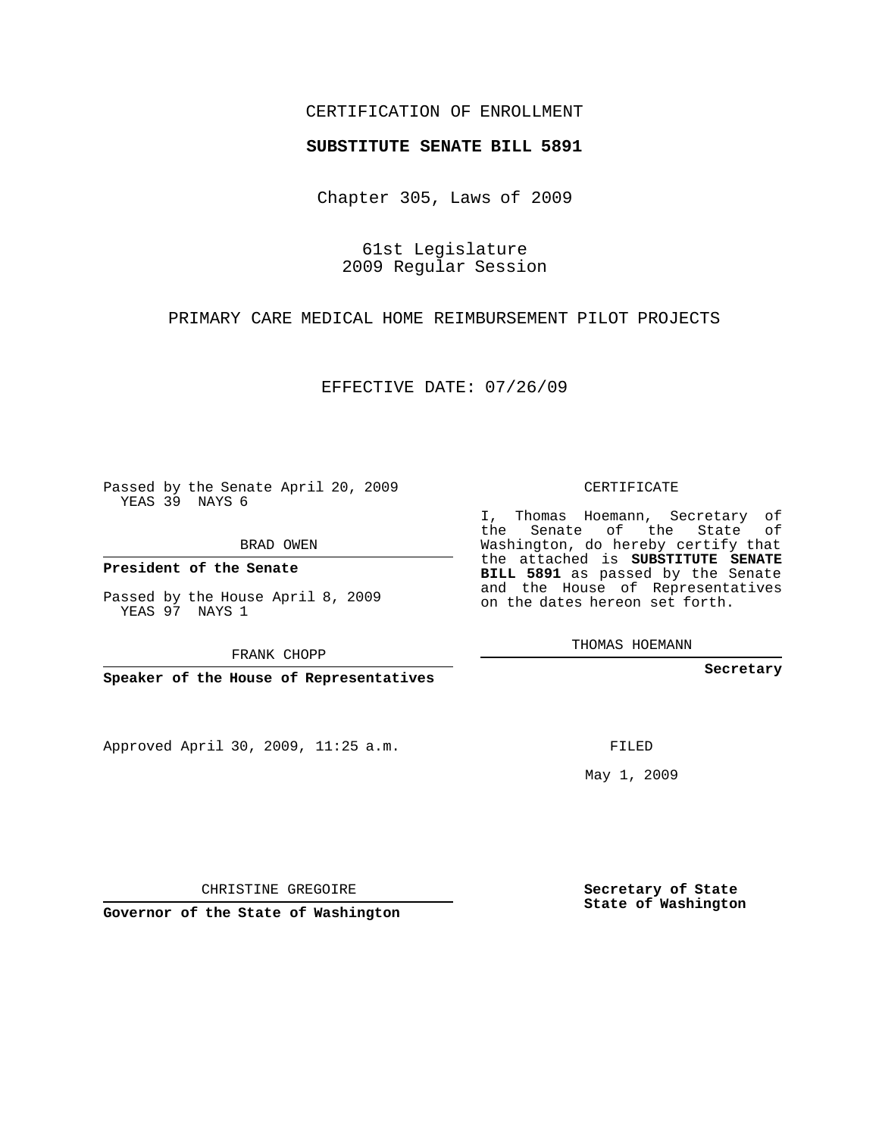## CERTIFICATION OF ENROLLMENT

## **SUBSTITUTE SENATE BILL 5891**

Chapter 305, Laws of 2009

61st Legislature 2009 Regular Session

PRIMARY CARE MEDICAL HOME REIMBURSEMENT PILOT PROJECTS

EFFECTIVE DATE: 07/26/09

Passed by the Senate April 20, 2009 YEAS 39 NAYS 6

BRAD OWEN

**President of the Senate**

Passed by the House April 8, 2009 YEAS 97 NAYS 1

FRANK CHOPP

**Speaker of the House of Representatives**

Approved April 30, 2009, 11:25 a.m.

CERTIFICATE

I, Thomas Hoemann, Secretary of the Senate of the State of Washington, do hereby certify that the attached is **SUBSTITUTE SENATE BILL 5891** as passed by the Senate and the House of Representatives on the dates hereon set forth.

THOMAS HOEMANN

**Secretary**

FILED

May 1, 2009

**Secretary of State State of Washington**

CHRISTINE GREGOIRE

**Governor of the State of Washington**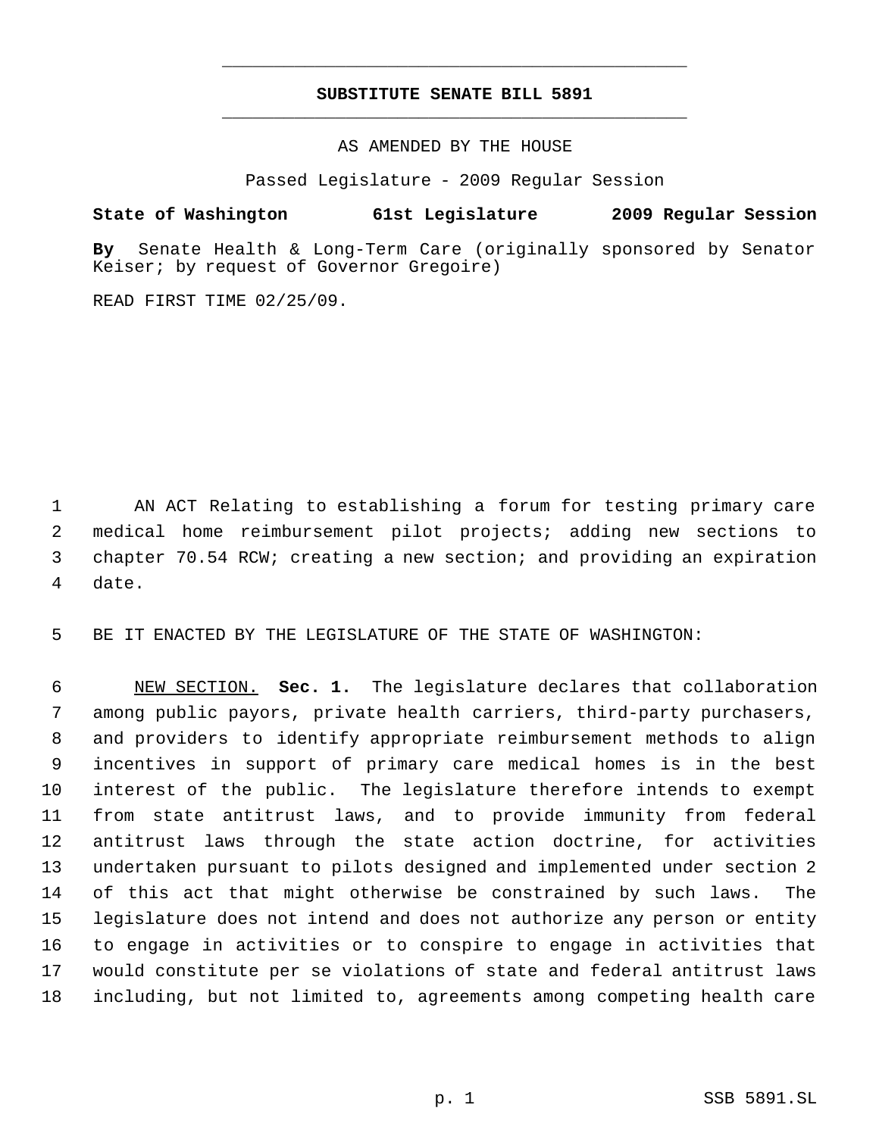## **SUBSTITUTE SENATE BILL 5891** \_\_\_\_\_\_\_\_\_\_\_\_\_\_\_\_\_\_\_\_\_\_\_\_\_\_\_\_\_\_\_\_\_\_\_\_\_\_\_\_\_\_\_\_\_

\_\_\_\_\_\_\_\_\_\_\_\_\_\_\_\_\_\_\_\_\_\_\_\_\_\_\_\_\_\_\_\_\_\_\_\_\_\_\_\_\_\_\_\_\_

AS AMENDED BY THE HOUSE

Passed Legislature - 2009 Regular Session

**State of Washington 61st Legislature 2009 Regular Session**

**By** Senate Health & Long-Term Care (originally sponsored by Senator Keiser; by request of Governor Gregoire)

READ FIRST TIME 02/25/09.

 AN ACT Relating to establishing a forum for testing primary care medical home reimbursement pilot projects; adding new sections to chapter 70.54 RCW; creating a new section; and providing an expiration date.

BE IT ENACTED BY THE LEGISLATURE OF THE STATE OF WASHINGTON:

 NEW SECTION. **Sec. 1.** The legislature declares that collaboration among public payors, private health carriers, third-party purchasers, and providers to identify appropriate reimbursement methods to align incentives in support of primary care medical homes is in the best interest of the public. The legislature therefore intends to exempt from state antitrust laws, and to provide immunity from federal antitrust laws through the state action doctrine, for activities undertaken pursuant to pilots designed and implemented under section 2 of this act that might otherwise be constrained by such laws. The legislature does not intend and does not authorize any person or entity to engage in activities or to conspire to engage in activities that would constitute per se violations of state and federal antitrust laws including, but not limited to, agreements among competing health care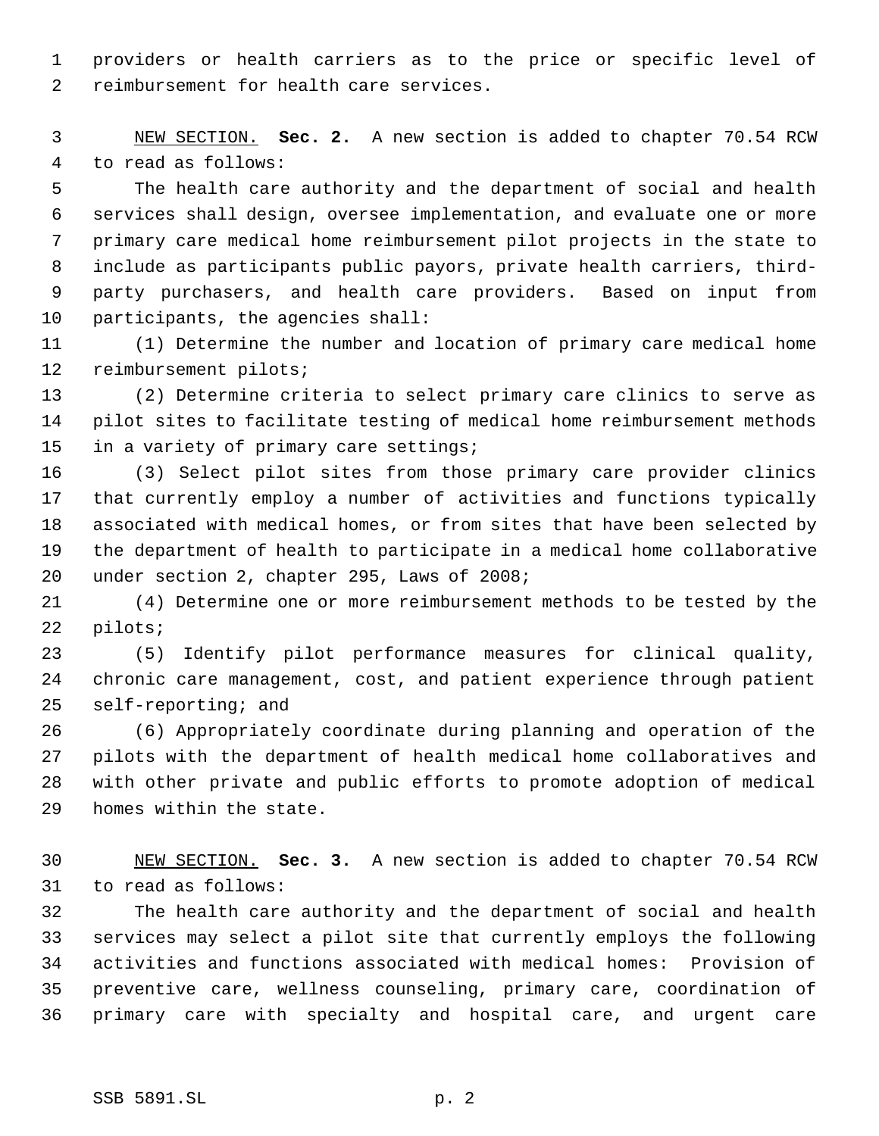providers or health carriers as to the price or specific level of reimbursement for health care services.

 NEW SECTION. **Sec. 2.** A new section is added to chapter 70.54 RCW to read as follows:

 The health care authority and the department of social and health services shall design, oversee implementation, and evaluate one or more primary care medical home reimbursement pilot projects in the state to include as participants public payors, private health carriers, third- party purchasers, and health care providers. Based on input from participants, the agencies shall:

 (1) Determine the number and location of primary care medical home reimbursement pilots;

 (2) Determine criteria to select primary care clinics to serve as pilot sites to facilitate testing of medical home reimbursement methods in a variety of primary care settings;

 (3) Select pilot sites from those primary care provider clinics that currently employ a number of activities and functions typically associated with medical homes, or from sites that have been selected by the department of health to participate in a medical home collaborative under section 2, chapter 295, Laws of 2008;

 (4) Determine one or more reimbursement methods to be tested by the pilots;

 (5) Identify pilot performance measures for clinical quality, chronic care management, cost, and patient experience through patient self-reporting; and

 (6) Appropriately coordinate during planning and operation of the pilots with the department of health medical home collaboratives and with other private and public efforts to promote adoption of medical homes within the state.

 NEW SECTION. **Sec. 3.** A new section is added to chapter 70.54 RCW to read as follows:

 The health care authority and the department of social and health services may select a pilot site that currently employs the following activities and functions associated with medical homes: Provision of preventive care, wellness counseling, primary care, coordination of primary care with specialty and hospital care, and urgent care